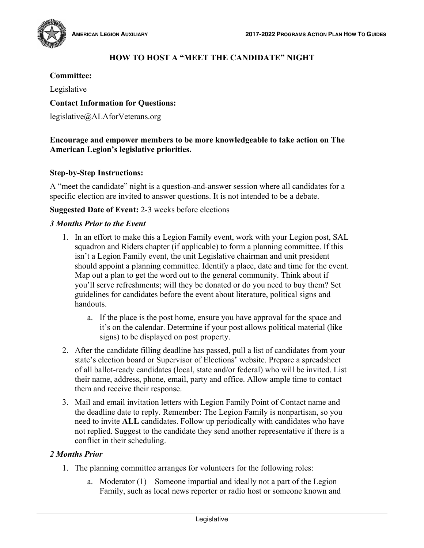

# **HOW TO HOST A "MEET THE CANDIDATE" NIGHT**

# **Committee:**

Legislative

## **Contact Information for Questions:**

legislative@ALAforVeterans.org

## **Encourage and empower members to be more knowledgeable to take action on The American Legion's legislative priorities.**

## **Step-by-Step Instructions:**

A "meet the candidate" night is a question-and-answer session where all candidates for a specific election are invited to answer questions. It is not intended to be a debate.

## **Suggested Date of Event:** 2-3 weeks before elections

## *3 Months Prior to the Event*

- 1. In an effort to make this a Legion Family event, work with your Legion post, SAL squadron and Riders chapter (if applicable) to form a planning committee. If this isn't a Legion Family event, the unit Legislative chairman and unit president should appoint a planning committee. Identify a place, date and time for the event. Map out a plan to get the word out to the general community. Think about if you'll serve refreshments; will they be donated or do you need to buy them? Set guidelines for candidates before the event about literature, political signs and handouts.
	- a. If the place is the post home, ensure you have approval for the space and it's on the calendar. Determine if your post allows political material (like signs) to be displayed on post property.
- 2. After the candidate filling deadline has passed, pull a list of candidates from your state's election board or Supervisor of Elections' website. Prepare a spreadsheet of all ballot-ready candidates (local, state and/or federal) who will be invited. List their name, address, phone, email, party and office. Allow ample time to contact them and receive their response.
- 3. Mail and email invitation letters with Legion Family Point of Contact name and the deadline date to reply. Remember: The Legion Family is nonpartisan, so you need to invite **ALL** candidates. Follow up periodically with candidates who have not replied. Suggest to the candidate they send another representative if there is a conflict in their scheduling.

#### *2 Months Prior*

- 1. The planning committee arranges for volunteers for the following roles:
	- a. Moderator (1) Someone impartial and ideally not a part of the Legion Family, such as local news reporter or radio host or someone known and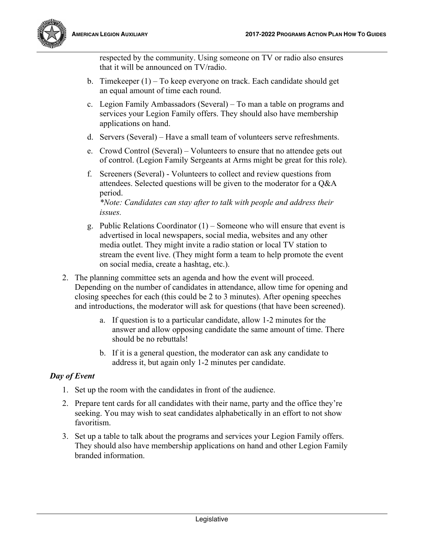

respected by the community. Using someone on TV or radio also ensures that it will be announced on TV/radio.

- b. Timekeeper (1) To keep everyone on track. Each candidate should get an equal amount of time each round.
- c. Legion Family Ambassadors (Several) To man a table on programs and services your Legion Family offers. They should also have membership applications on hand.
- d. Servers (Several) Have a small team of volunteers serve refreshments.
- e. Crowd Control (Several) Volunteers to ensure that no attendee gets out of control. (Legion Family Sergeants at Arms might be great for this role).
- f. Screeners (Several) Volunteers to collect and review questions from attendees. Selected questions will be given to the moderator for a Q&A period.

*\*Note: Candidates can stay after to talk with people and address their issues.*

- g. Public Relations Coordinator (1) Someone who will ensure that event is advertised in local newspapers, social media, websites and any other media outlet. They might invite a radio station or local TV station to stream the event live. (They might form a team to help promote the event on social media, create a hashtag, etc.).
- 2. The planning committee sets an agenda and how the event will proceed. Depending on the number of candidates in attendance, allow time for opening and closing speeches for each (this could be 2 to 3 minutes). After opening speeches and introductions, the moderator will ask for questions (that have been screened).
	- a. If question is to a particular candidate, allow 1-2 minutes for the answer and allow opposing candidate the same amount of time. There should be no rebuttals!
	- b. If it is a general question, the moderator can ask any candidate to address it, but again only 1-2 minutes per candidate.

## *Day of Event*

- 1. Set up the room with the candidates in front of the audience.
- 2. Prepare tent cards for all candidates with their name, party and the office they're seeking. You may wish to seat candidates alphabetically in an effort to not show favoritism.
- 3. Set up a table to talk about the programs and services your Legion Family offers. They should also have membership applications on hand and other Legion Family branded information.